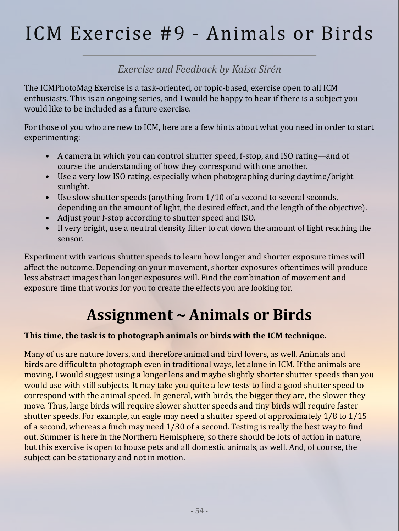# ICM Exercise #9 - Animals or Birds

# *Exercise and Feedback by Kaisa Sirén*

The ICMPhotoMag Exercise is a task-oriented, or topic-based, exercise open to all ICM enthusiasts. This is an ongoing series, and I would be happy to hear if there is a subject you would like to be included as a future exercise.

For those of you who are new to ICM, here are a few hints about what you need in order to start experimenting:

- A camera in which you can control shutter speed, f-stop, and ISO rating—and of course the understanding of how they correspond with one another.
- Use a very low ISO rating, especially when photographing during daytime/bright sunlight.
- Use slow shutter speeds (anything from 1/10 of a second to several seconds, depending on the amount of light, the desired effect, and the length of the objective).
- Adjust your f-stop according to shutter speed and ISO.
- If very bright, use a neutral density filter to cut down the amount of light reaching the sensor.

Experiment with various shutter speeds to learn how longer and shorter exposure times will affect the outcome. Depending on your movement, shorter exposures oftentimes will produce less abstract images than longer exposures will. Find the combination of movement and exposure time that works for you to create the effects you are looking for.

# **Assignment ~ Animals or Birds**

#### **This time, the task is to photograph animals or birds with the ICM technique.**

Many of us are nature lovers, and therefore animal and bird lovers, as well. Animals and birds are difficult to photograph even in traditional ways, let alone in ICM. If the animals are moving, I would suggest using a longer lens and maybe slightly shorter shutter speeds than you would use with still subjects. It may take you quite a few tests to find a good shutter speed to correspond with the animal speed. In general, with birds, the bigger they are, the slower they move. Thus, large birds will require slower shutter speeds and tiny birds will require faster shutter speeds. For example, an eagle may need a shutter speed of approximately 1/8 to 1/15 of a second, whereas a finch may need 1/30 of a second. Testing is really the best way to find out. Summer is here in the Northern Hemisphere, so there should be lots of action in nature, but this exercise is open to house pets and all domestic animals, as well. And, of course, the subject can be stationary and not in motion.